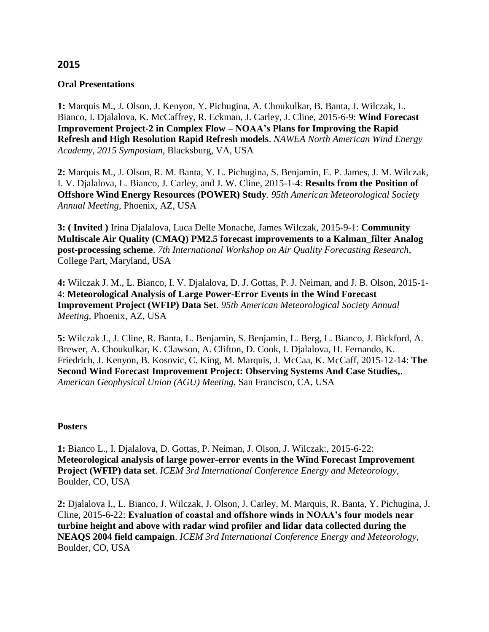### **2015**

#### **Oral Presentations**

**1:** Marquis M., J. Olson, J. Kenyon, Y. Pichugina, A. Choukulkar, B. Banta, J. Wilczak, L. Bianco, I. Djalalova, K. McCaffrey, R. Eckman, J. Carley, J. Cline, 2015-6-9: **Wind Forecast Improvement Project-2 in Complex Flow – NOAA's Plans for Improving the Rapid Refresh and High Resolution Rapid Refresh models**. *NAWEA North American Wind Energy Academy, 2015 Symposium*, Blacksburg, VA, USA

**2:** Marquis M., J. Olson, R. M. Banta, Y. L. Pichugina, S. Benjamin, E. P. James, J. M. Wilczak, I. V. Djalalova, L. Bianco, J. Carley, and J. W. Cline, 2015-1-4: **Results from the Position of Offshore Wind Energy Resources (POWER) Study**. *95th American Meteorological Society Annual Meeting*, Phoenix, AZ, USA

**3: ( Invited )** Irina Djalalova, Luca Delle Monache, James Wilczak, 2015-9-1: **Community Multiscale Air Quality (CMAQ) PM2.5 forecast improvements to a Kalman\_filter Analog post-processing scheme**. *7th International Workshop on Air Quality Forecasting Research*, College Part, Maryland, USA

**4:** Wilczak J. M., L. Bianco, I. V. Djalalova, D. J. Gottas, P. J. Neiman, and J. B. Olson, 2015-1- 4: **Meteorological Analysis of Large Power-Error Events in the Wind Forecast Improvement Project (WFIP) Data Set**. *95th American Meteorological Society Annual Meeting*, Phoenix, AZ, USA

**5:** Wilczak J., J. Cline, R. Banta, L. Benjamin, S. Benjamin, L. Berg, L. Bianco, J. Bickford, A. Brewer, A. Choukulkar, K. Clawson, A. Clifton, D. Cook, I. Djalalova, H. Fernando, K. Friedrich, J. Kenyon, B. Kosovic, C. King, M. Marquis, J. McCaa, K. McCaff, 2015-12-14: **The Second Wind Forecast Improvement Project: Observing Systems And Case Studies,**. *American Geophysical Union (AGU) Meeting*, San Francisco, CA, USA

#### **Posters**

**1:** Bianco L., I. Djalalova, D. Gottas, P. Neiman, J. Olson, J. Wilczak:, 2015-6-22: **Meteorological analysis of large power-error events in the Wind Forecast Improvement Project (WFIP) data set**. *ICEM 3rd International Conference Energy and Meteorology*, Boulder, CO, USA

**2:** Djalalova I., L. Bianco, J. Wilczak, J. Olson, J. Carley, M. Marquis, R. Banta, Y. Pichugina, J. Cline, 2015-6-22: **Evaluation of coastal and offshore winds in NOAA's four models near turbine height and above with radar wind profiler and lidar data collected during the NEAQS 2004 field campaign**. *ICEM 3rd International Conference Energy and Meteorology*, Boulder, CO, USA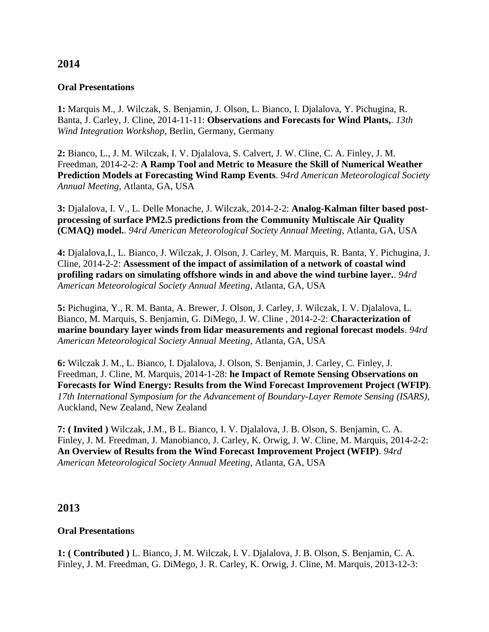# **2014**

#### **Oral Presentations**

**1:** Marquis M., J. Wilczak, S. Benjamin, J. Olson, L. Bianco, I. Djalalova, Y. Pichugina, R. Banta, J. Carley, J. Cline, 2014-11-11: **Observations and Forecasts for Wind Plants,**. *13th Wind Integration Workshop*, Berlin, Germany, Germany

**2:** Bianco, L., J. M. Wilczak, I. V. Djalalova, S. Calvert, J. W. Cline, C. A. Finley, J. M. Freedman, 2014-2-2: **A Ramp Tool and Metric to Measure the Skill of Numerical Weather Prediction Models at Forecasting Wind Ramp Events**. *94rd American Meteorological Society Annual Meeting*, Atlanta, GA, USA

**3:** Djalalova, I. V., L. Delle Monache, J. Wilczak, 2014-2-2: **Analog-Kalman filter based postprocessing of surface PM2.5 predictions from the Community Multiscale Air Quality (CMAQ) model.**. *94rd American Meteorological Society Annual Meeting*, Atlanta, GA, USA

**4:** Djalalova,I., L. Bianco, J. Wilczak, J. Olson, J. Carley, M. Marquis, R. Banta, Y. Pichugina, J. Cline, 2014-2-2: **Assessment of the impact of assimilation of a network of coastal wind profiling radars on simulating offshore winds in and above the wind turbine layer.**. *94rd American Meteorological Society Annual Meeting*, Atlanta, GA, USA

**5:** Pichugina, Y., R. M. Banta, A. Brewer, J. Olson, J. Carley, J. Wilczak, I. V. Djalalova, L. Bianco, M. Marquis, S. Benjamin, G. DiMego, J. W. Cline , 2014-2-2: **Characterization of marine boundary layer winds from lidar measurements and regional forecast models**. *94rd American Meteorological Society Annual Meeting*, Atlanta, GA, USA

**6:** Wilczak J. M., L. Bianco, I. Djalalova, J. Olson, S. Benjamin, J. Carley, C. Finley, J. Freedman, J. Cline, M. Marquis, 2014-1-28: **he Impact of Remote Sensing Observations on Forecasts for Wind Energy: Results from the Wind Forecast Improvement Project (WFIP)**. *17th International Symposium for the Advancement of Boundary-Layer Remote Sensing (ISARS)*, Auckland, New Zealand, New Zealand

**7: ( Invited )** Wilczak, J.M., B L. Bianco, I. V. Djalalova, J. B. Olson, S. Benjamin, C. A. Finley, J. M. Freedman, J. Manobianco, J. Carley, K. Orwig, J. W. Cline, M. Marquis, 2014-2-2: **An Overview of Results from the Wind Forecast Improvement Project (WFIP)**. *94rd American Meteorological Society Annual Meeting*, Atlanta, GA, USA

# **2013**

### **Oral Presentations**

**1: ( Contributed )** L. Bianco, J. M. Wilczak, I. V. Djalalova, J. B. Olson, S. Benjamin, C. A. Finley, J. M. Freedman, G. DiMego, J. R. Carley, K. Orwig, J. Cline, M. Marquis, 2013-12-3: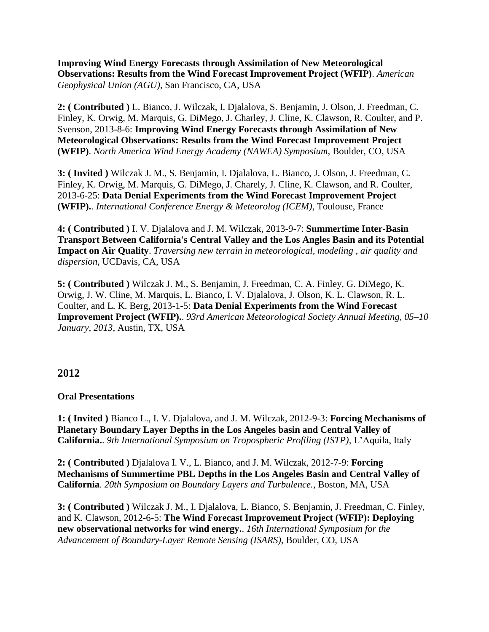**Improving Wind Energy Forecasts through Assimilation of New Meteorological Observations: Results from the Wind Forecast Improvement Project (WFIP)**. *American Geophysical Union (AGU)*, San Francisco, CA, USA

**2: ( Contributed )** L. Bianco, J. Wilczak, I. Djalalova, S. Benjamin, J. Olson, J. Freedman, C. Finley, K. Orwig, M. Marquis, G. DiMego, J. Charley, J. Cline, K. Clawson, R. Coulter, and P. Svenson, 2013-8-6: **Improving Wind Energy Forecasts through Assimilation of New Meteorological Observations: Results from the Wind Forecast Improvement Project (WFIP)**. *North America Wind Energy Academy (NAWEA) Symposium*, Boulder, CO, USA

**3: ( Invited )** Wilczak J. M., S. Benjamin, I. Djalalova, L. Bianco, J. Olson, J. Freedman, C. Finley, K. Orwig, M. Marquis, G. DiMego, J. Charely, J. Cline, K. Clawson, and R. Coulter, 2013-6-25: **Data Denial Experiments from the Wind Forecast Improvement Project (WFIP).**. *International Conference Energy & Meteorolog (ICEM)*, Toulouse, France

**4: ( Contributed )** I. V. Djalalova and J. M. Wilczak, 2013-9-7: **Summertime Inter-Basin Transport Between California's Central Valley and the Los Angles Basin and its Potential Impact on Air Quality**. *Traversing new terrain in meteorological, modeling , air quality and dispersion*, UCDavis, CA, USA

**5: ( Contributed )** Wilczak J. M., S. Benjamin, J. Freedman, C. A. Finley, G. DiMego, K. Orwig, J. W. Cline, M. Marquis, L. Bianco, I. V. Djalalova, J. Olson, K. L. Clawson, R. L. Coulter, and L. K. Berg, 2013-1-5: **Data Denial Experiments from the Wind Forecast Improvement Project (WFIP).**. *93rd American Meteorological Society Annual Meeting, 05–10 January, 2013*, Austin, TX, USA

# **2012**

#### **Oral Presentations**

**1: ( Invited )** Bianco L., I. V. Djalalova, and J. M. Wilczak, 2012-9-3: **Forcing Mechanisms of Planetary Boundary Layer Depths in the Los Angeles basin and Central Valley of California.**. *9th International Symposium on Tropospheric Profiling (ISTP)*, L'Aquila, Italy

**2: ( Contributed )** Djalalova I. V., L. Bianco, and J. M. Wilczak, 2012-7-9: **Forcing Mechanisms of Summertime PBL Depths in the Los Angeles Basin and Central Valley of California**. *20th Symposium on Boundary Layers and Turbulence.*, Boston, MA, USA

**3: ( Contributed )** Wilczak J. M., I. Djalalova, L. Bianco, S. Benjamin, J. Freedman, C. Finley, and K. Clawson, 2012-6-5: **The Wind Forecast Improvement Project (WFIP): Deploying new observational networks for wind energy.**. *16th International Symposium for the Advancement of Boundary-Layer Remote Sensing (ISARS)*, Boulder, CO, USA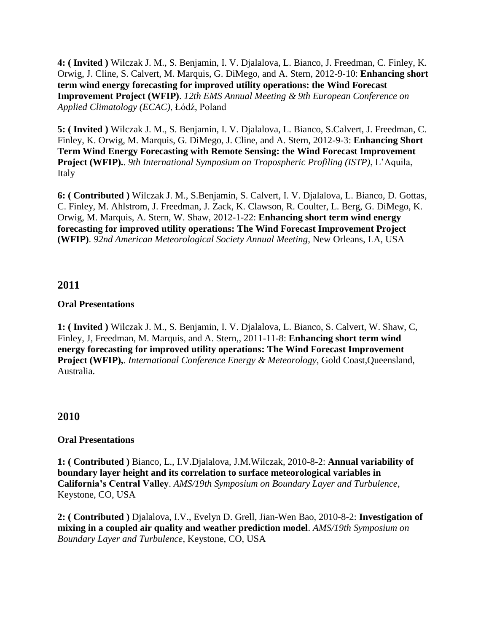**4: ( Invited )** Wilczak J. M., S. Benjamin, I. V. Djalalova, L. Bianco, J. Freedman, C. Finley, K. Orwig, J. Cline, S. Calvert, M. Marquis, G. DiMego, and A. Stern, 2012-9-10: **Enhancing short term wind energy forecasting for improved utility operations: the Wind Forecast Improvement Project (WFIP)**. *12th EMS Annual Meeting & 9th European Conference on Applied Climatology (ECAC)*, Łódź, Poland

**5: ( Invited )** Wilczak J. M., S. Benjamin, I. V. Djalalova, L. Bianco, S.Calvert, J. Freedman, C. Finley, K. Orwig, M. Marquis, G. DiMego, J. Cline, and A. Stern, 2012-9-3: **Enhancing Short Term Wind Energy Forecasting with Remote Sensing: the Wind Forecast Improvement Project (WFIP).**. *9th International Symposium on Tropospheric Profiling (ISTP)*, L'Aquila, Italy

**6: ( Contributed )** Wilczak J. M., S.Benjamin, S. Calvert, I. V. Djalalova, L. Bianco, D. Gottas, C. Finley, M. Ahlstrom, J. Freedman, J. Zack, K. Clawson, R. Coulter, L. Berg, G. DiMego, K. Orwig, M. Marquis, A. Stern, W. Shaw, 2012-1-22: **[Enhancing short term wind energy](http://ams.confex.com/ams/92Annual/flvgateway.cgi/id/19857?recordingid=19857)  [forecasting for improved utility operations: The Wind Forecast Improvement Project](http://ams.confex.com/ams/92Annual/flvgateway.cgi/id/19857?recordingid=19857)  [\(WFIP\)](http://ams.confex.com/ams/92Annual/flvgateway.cgi/id/19857?recordingid=19857)**. *92nd American Meteorological Society Annual Meeting*, New Orleans, LA, USA

# **2011**

### **Oral Presentations**

**1: ( Invited )** Wilczak J. M., S. Benjamin, I. V. Djalalova, L. Bianco, S. Calvert, W. Shaw, C, Finley, J, Freedman, M. Marquis, and A. Stern,, 2011-11-8: **Enhancing short term wind energy forecasting for improved utility operations: The Wind Forecast Improvement Project (WFIP),**. *International Conference Energy & Meteorology*, Gold Coast,Queensland, Australia.

# **2010**

#### **Oral Presentations**

**1: ( Contributed )** Bianco, L., I.V.Djalalova, J.M.Wilczak, 2010-8-2: **Annual variability of boundary layer height and its correlation to surface meteorological variables in California's Central Valley**. *AMS/19th Symposium on Boundary Layer and Turbulence*, Keystone, CO, USA

**2: ( Contributed )** Djalalova, I.V., Evelyn D. Grell, Jian-Wen Bao, 2010-8-2: **Investigation of mixing in a coupled air quality and weather prediction model**. *AMS/19th Symposium on Boundary Layer and Turbulence*, Keystone, CO, USA